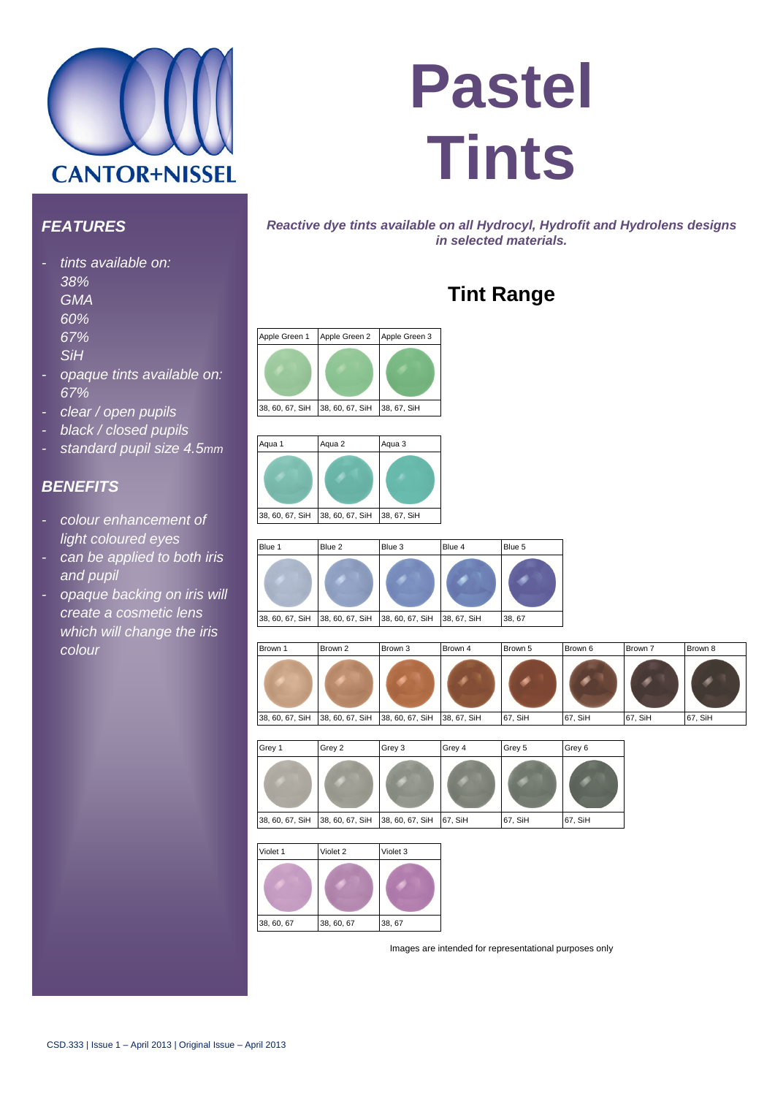

# **Pastel Tints**

#### *FEATURES*

- *- tints available on:*
	- *38%*
	- *GMA*
	- *60%*
	- *67%*
	- *SiH*
	-
- *- opaque tints available on: 67%*
- *- clear / open pupils*
- *- black / closed pupils*
- *- standard pupil size 4.5mm*

#### *BENEFITS*

- *- colour enhancement of light coloured eyes*
- *- can be applied to both iris and pupil*
- *- opaque backing on iris will create a cosmetic lens which will change the iris colour*

*Reactive dye tints available on all Hydrocyl, Hydrofit and Hydrolens designs in selected materials.*

## **Tint Range**





| Blue 1                          | Blue 2 | Blue 3          | Blue 4      | Blue 5 |
|---------------------------------|--------|-----------------|-------------|--------|
|                                 |        |                 |             |        |
| 38, 60, 67, SiH 38, 60, 67, SiH |        | 38, 60, 67, SiH | 38, 67, SiH | 38, 67 |







Images are intended for representational purposes only